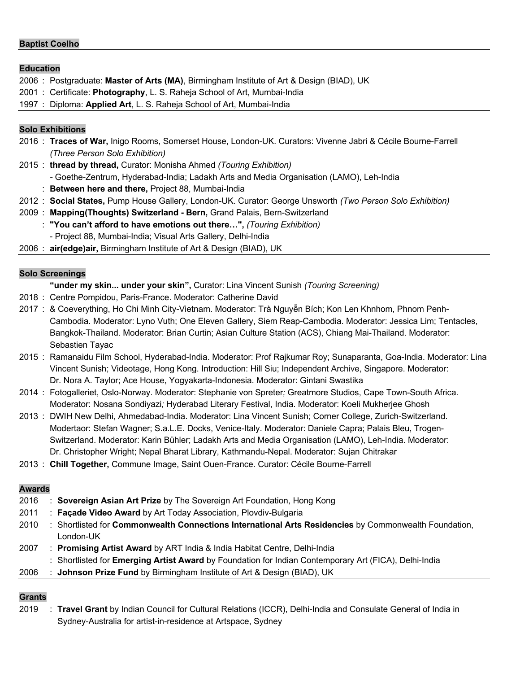#### **Baptist Coelho**

#### **Education**

- 2006 : Postgraduate: **Master of Arts (MA)**, Birmingham Institute of Art & Design (BIAD), UK
- 2001 : Certificate: **Photography**, L. S. Raheja School of Art, Mumbai-India
- 1997 : Diploma: **Applied Art**, L. S. Raheja School of Art, Mumbai-India

#### **Solo Exhibitions**

- 2016 : **Traces of War,** Inigo Rooms, Somerset House, London-UK. Curators: Vivenne Jabri & Cécile Bourne-Farrell *(Three Person Solo Exhibition)*
- 2015 : **thread by thread,** Curator: Monisha Ahmed *(Touring Exhibition)*
	- *-* Goethe-Zentrum, Hyderabad-India; Ladakh Arts and Media Organisation (LAMO), Leh-India
		- : **Between here and there,** Project 88, Mumbai-India
- 2012 : **Social States,** Pump House Gallery, London-UK. Curator: George Unsworth *(Two Person Solo Exhibition)*
- 2009 : **Mapping(Thoughts) Switzerland - Bern,** Grand Palais, Bern-Switzerland
	- : **"You can't afford to have emotions out there…",** *(Touring Exhibition)*
	- Project 88, Mumbai-India; Visual Arts Gallery, Delhi-India

2006 : **air(edge)air,** Birmingham Institute of Art & Design (BIAD), UK

#### **Solo Screenings**

#### **"under my skin... under your skin",** Curator: Lina Vincent Sunish *(Touring Screening)*

- 2018 : Centre Pompidou, Paris-France. Moderator: Catherine David
- 2017 : & Coeverything, Ho Chi Minh City-Vietnam. Moderator: Trà Nguyễn Bích; Kon Len Khnhom, Phnom Penh-Cambodia. Moderator: Lyno Vuth; One Eleven Gallery, Siem Reap-Cambodia. Moderator: Jessica Lim; Tentacles, Bangkok-Thailand. Moderator: Brian Curtin; Asian Culture Station (ACS), Chiang Mai-Thailand. Moderator: Sebastien Tayac
- 2015 : Ramanaidu Film School, Hyderabad-India. Moderator: Prof Rajkumar Roy; Sunaparanta, Goa-India. Moderator: Lina Vincent Sunish; Videotage, Hong Kong. Introduction: Hill Siu; Independent Archive, Singapore. Moderator: Dr. Nora A. Taylor; Ace House, Yogyakarta-Indonesia. Moderator: Gintani Swastika
- 2014 : Fotogalleriet, Oslo-Norway. Moderator: Stephanie von Spreter*;* Greatmore Studios, Cape Town-South Africa. Moderator: Nosana Sondiyazi*;* Hyderabad Literary Festival, India. Moderator: Koeli Mukherjee Ghosh
- 2013 : DWIH New Delhi, Ahmedabad-India. Moderator: Lina Vincent Sunish; Corner College, Zurich-Switzerland. Modertaor: Stefan Wagner; S.a.L.E. Docks, Venice-Italy. Moderator: Daniele Capra; Palais Bleu, Trogen-Switzerland. Moderator: Karin Bühler; Ladakh Arts and Media Organisation (LAMO), Leh-India. Moderator: Dr. Christopher Wright; Nepal Bharat Library, Kathmandu-Nepal. Moderator: Sujan Chitrakar
- 2013 : **Chill Together,** Commune Image, Saint Ouen-France. Curator: Cécile Bourne-Farrell

### **Awards**

- 2016 : **Sovereign Asian Art Prize** by The Sovereign Art Foundation, Hong Kong 2011 : **Façade Video Award** by Art Today Association, Plovdiv-Bulgaria 2010 : Shortlisted for **Commonwealth Connections International Arts Residencies** by Commonwealth Foundation, London-UK 2007 : **Promising Artist Award** by ART India & India Habitat Centre, Delhi-India
- : Shortlisted for **Emerging Artist Award** by Foundation for Indian Contemporary Art (FICA), Delhi-India
- 2006 : **Johnson Prize Fund** by Birmingham Institute of Art & Design (BIAD), UK

## **Grants**

2019 : **Travel Grant** by Indian Council for Cultural Relations (ICCR), Delhi-India and Consulate General of India in Sydney-Australia for artist-in-residence at Artspace, Sydney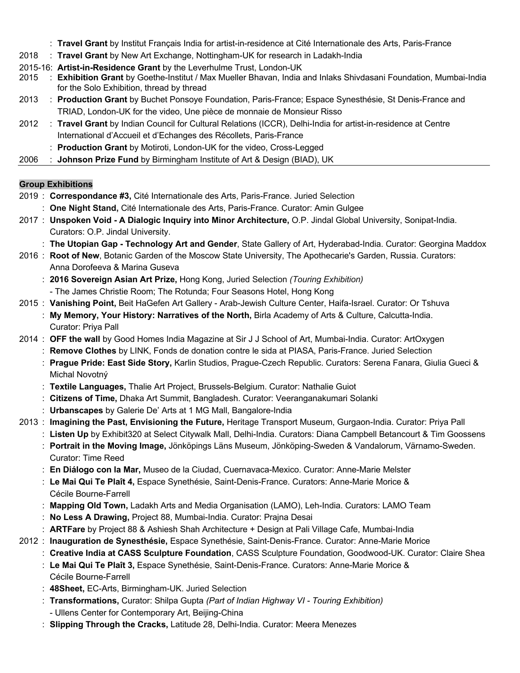- : **Travel Grant** by Institut Français India for artist-in-residence at Cité Internationale des Arts, Paris-France
- 2018 : **Travel Grant** by New Art Exchange, Nottingham-UK for research in Ladakh-India
- 2015-16: **Artist-in-Residence Grant** by the Leverhulme Trust, London-UK
- 2015 : **Exhibition Grant** by Goethe-Institut / Max Mueller Bhavan, India and Inlaks Shivdasani Foundation, Mumbai-India for the Solo Exhibition, thread by thread
- 2013 : **Production Grant** by Buchet Ponsoye Foundation, Paris-France; Espace Synesthésie, St Denis-France and TRIAD, London-UK for the video, Une pièce de monnaie de Monsieur Risso
- 2012 : **Travel Grant** by Indian Council for Cultural Relations (ICCR), Delhi-India for artist-in-residence at Centre International d'Accueil et d'Echanges des Récollets, Paris-France
	- : **Production Grant** by Motiroti, London-UK for the video, Cross-Legged
- 2006 : **Johnson Prize Fund** by Birmingham Institute of Art & Design (BIAD), UK

### **Group Exhibitions**

- 2019 : **Correspondance #3,** Cité Internationale des Arts, Paris-France. Juried Selection : **One Night Stand,** Cité Internationale des Arts, Paris-France. Curator: Amin Gulgee
- 2017 : **Unspoken Void - A Dialogic Inquiry into Minor Architecture,** O.P. Jindal Global University, Sonipat-India. Curators: O.P. Jindal University.
	- : **The Utopian Gap - Technology Art and Gender**, State Gallery of Art, Hyderabad-India. Curator: Georgina Maddox
- 2016 : **Root of New**, Botanic Garden of the Moscow State University, The Apothecarie's Garden, Russia. Curators: Anna Dorofeeva & Marina Guseva
	- : **2016 Sovereign Asian Art Prize,** Hong Kong, Juried Selection *(Touring Exhibition)*
		- The James Christie Room; The Rotunda; Four Seasons Hotel, Hong Kong
- 2015 : **Vanishing Point,** Beit HaGefen Art Gallery Arab-Jewish Culture Center, Haifa-Israel. Curator: Or Tshuva
	- : **My Memory, Your History: Narratives of the North,** Birla Academy of Arts & Culture, Calcutta-India. Curator: Priya Pall
- 2014 : **OFF the wall** by Good Homes India Magazine at Sir J J School of Art, Mumbai-India. Curator: ArtOxygen
	- : **Remove Clothes** by LINK, Fonds de donation contre le sida at PIASA, Paris-France. Juried Selection
	- : **Prague Pride: East Side Story,** Karlin Studios, Prague-Czech Republic. Curators: Serena Fanara, Giulia Gueci & Michal Novotný
	- : **Textile Languages,** Thalie Art Project, Brussels-Belgium. Curator: Nathalie Guiot
	- : **Citizens of Time,** Dhaka Art Summit, Bangladesh. Curator: Veeranganakumari Solanki
	- : **Urbanscapes** by Galerie De' Arts at 1 MG Mall, Bangalore-India
- 2013 : **Imagining the Past, Envisioning the Future,** Heritage Transport Museum, Gurgaon-India. Curator: Priya Pall
	- : **Listen Up** by Exhibit320 at Select Citywalk Mall, Delhi-India. Curators: Diana Campbell Betancourt & Tim Goossens
	- : **Portrait in the Moving Image,** Jönköpings Läns Museum, Jönköping-Sweden & Vandalorum, Värnamo-Sweden. Curator: Time Reed
	- : **En Diálogo con la Mar,** Museo de la Ciudad, Cuernavaca-Mexico. Curator: Anne-Marie Melster
	- : **Le Mai Qui Te Plaît 4,** Espace Synethésie, Saint-Denis-France. Curators: Anne-Marie Morice & Cécile Bourne-Farrell
	- : **Mapping Old Town,** Ladakh Arts and Media Organisation (LAMO), Leh-India. Curators: LAMO Team
	- : **No Less A Drawing,** Project 88, Mumbai-India. Curator: Prajna Desai
	- : **ARTFare** by Project 88 & Ashiesh Shah Architecture + Design at Pali Village Cafe, Mumbai-India
- 2012 : **Inauguration de Synesthésie,** Espace Synethésie, Saint-Denis-France. Curator: Anne-Marie Morice
	- : **Creative India at CASS Sculpture Foundation**, CASS Sculpture Foundation, Goodwood-UK. Curator: Claire Shea
	- : **Le Mai Qui Te Plaît 3,** Espace Synethésie, Saint-Denis-France. Curators: Anne-Marie Morice & Cécile Bourne-Farrell
	- : **48Sheet,** EC-Arts, Birmingham-UK. Juried Selection
	- : **Transformations,** Curator: Shilpa Gupta *(Part of Indian Highway VI - Touring Exhibition)*
	- Ullens Center for Contemporary Art, Beijing-China
	- : **Slipping Through the Cracks,** Latitude 28, Delhi-India. Curator: Meera Menezes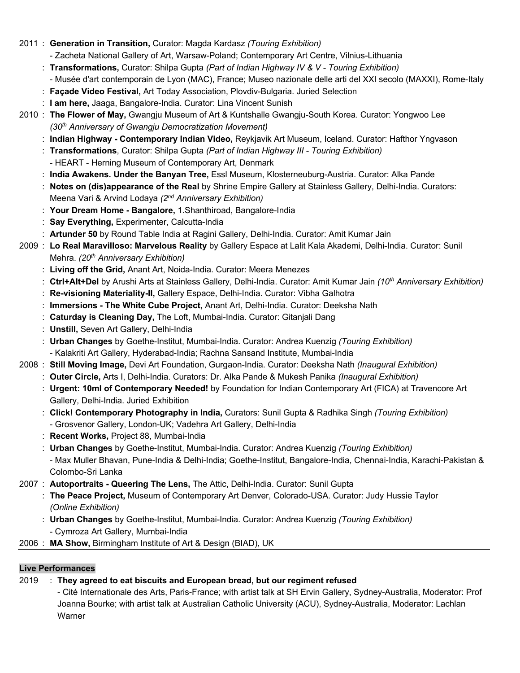- 2011 : **Generation in Transition,** Curator: Magda Kardasz *(Touring Exhibition)*
	- Zacheta National Gallery of Art, Warsaw-Poland; Contemporary Art Centre, Vilnius-Lithuania
	- : **Transformations,** Curator: Shilpa Gupta *(Part of Indian Highway IV & V - Touring Exhibition)*
		- Musée d'art contemporain de Lyon (MAC), France; Museo nazionale delle arti del XXI secolo (MAXXI), Rome-Italy
	- : **Façade Video Festival,** Art Today Association, Plovdiv-Bulgaria. Juried Selection
	- : **I am here,** Jaaga, Bangalore-India. Curator: Lina Vincent Sunish
- 2010 : **The Flower of May,** Gwangju Museum of Art & Kuntshalle Gwangju-South Korea. Curator: Yongwoo Lee *(30th Anniversary of Gwangju Democratization Movement)*
	- : **Indian Highway - Contemporary Indian Video,** Reykjavik Art Museum, Iceland. Curator: Hafthor Yngvason
	- : **Transformations**, Curator: Shilpa Gupta *(Part of Indian Highway III - Touring Exhibition)*
		- HEART Herning Museum of Contemporary Art, Denmark
	- : **India Awakens. Under the Banyan Tree,** Essl Museum, Klosterneuburg-Austria. Curator: Alka Pande
	- : **Notes on (dis)appearance of the Real** by Shrine Empire Gallery at Stainless Gallery, Delhi-India. Curators: Meena Vari & Arvind Lodaya *(2nd Anniversary Exhibition)*
	- : **Your Dream Home - Bangalore,** 1.Shanthiroad, Bangalore-India
	- : **Say Everything,** Experimenter, Calcutta-India
	- : **Artunder 50** by Round Table India at Ragini Gallery, Delhi-India. Curator: Amit Kumar Jain
- 2009 : **Lo Real Maravilloso: Marvelous Reality** by Gallery Espace at Lalit Kala Akademi, Delhi-India. Curator: Sunil Mehra. *(20th Anniversary Exhibition)*
	- : **Living off the Grid,** Anant Art, Noida-India. Curator: Meera Menezes
	- : **Ctrl+Alt+Del** by Arushi Arts at Stainless Gallery, Delhi-India. Curator: Amit Kumar Jain *(10th Anniversary Exhibition)*
	- : **Re-visioning Materiality-II,** Gallery Espace, Delhi-India. Curator: Vibha Galhotra
	- : **Immersions - The White Cube Project,** Anant Art, Delhi-India. Curator: Deeksha Nath
	- : **Caturday is Cleaning Day,** The Loft, Mumbai-India. Curator: Gitanjali Dang
	- : **Unstill,** Seven Art Gallery, Delhi-India
	- : **Urban Changes** by Goethe-Institut, Mumbai-India. Curator: Andrea Kuenzig *(Touring Exhibition)* - Kalakriti Art Gallery, Hyderabad-India; Rachna Sansand Institute, Mumbai-India
- 2008 : **Still Moving Image,** Devi Art Foundation, Gurgaon-India. Curator: Deeksha Nath *(Inaugural Exhibition)*
	- : **Outer Circle,** Arts I, Delhi-India. Curators: Dr. Alka Pande & Mukesh Panika *(Inaugural Exhibition)*
	- : **Urgent: 10ml of Contemporary Needed!** by Foundation for Indian Contemporary Art (FICA) at Travencore Art Gallery, Delhi-India. Juried Exhibition
	- : **Click! Contemporary Photography in India,** Curators: Sunil Gupta & Radhika Singh *(Touring Exhibition)*
		- Grosvenor Gallery, London-UK; Vadehra Art Gallery, Delhi-India
	- : **Recent Works,** Project 88, Mumbai-India
	- : **Urban Changes** by Goethe-Institut, Mumbai-India. Curator: Andrea Kuenzig *(Touring Exhibition)*
	- Max Muller Bhavan, Pune-India & Delhi-India; Goethe-Institut, Bangalore-India, Chennai-India, Karachi-Pakistan & Colombo-Sri Lanka
- 2007 : **Autoportraits - Queering The Lens,** The Attic, Delhi-India. Curator: Sunil Gupta
	- : **The Peace Project,** Museum of Contemporary Art Denver, Colorado-USA. Curator: Judy Hussie Taylor *(Online Exhibition)*
	- : **Urban Changes** by Goethe-Institut, Mumbai-India. Curator: Andrea Kuenzig *(Touring Exhibition)*
	- Cymroza Art Gallery, Mumbai-India
- 2006 : **MA Show,** Birmingham Institute of Art & Design (BIAD), UK

# **Live Performances**

# 2019 : **They agreed to eat biscuits and European bread, but our regiment refused**

- Cité Internationale des Arts, Paris-France; with artist talk at SH Ervin Gallery, Sydney-Australia, Moderator: Prof Joanna Bourke; with artist talk at Australian Catholic University (ACU), Sydney-Australia, Moderator: Lachlan **Warner**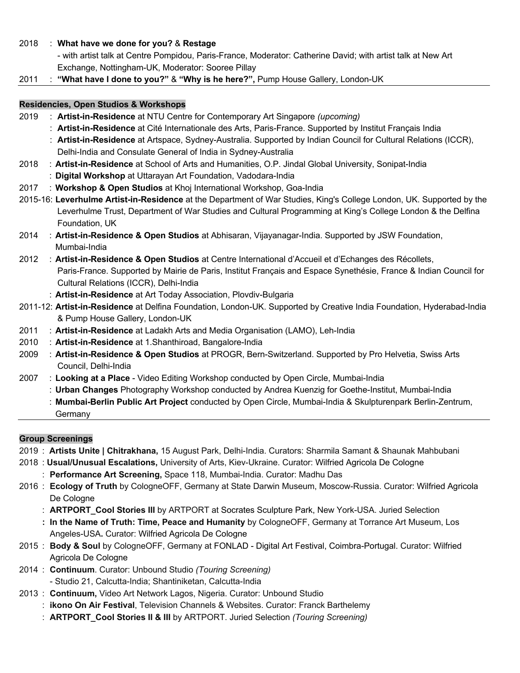2018 : **What have we done for you?** & **Restage**

- with artist talk at Centre Pompidou, Paris-France, Moderator: Catherine David; with artist talk at New Art Exchange, Nottingham-UK, Moderator: Sooree Pillay

2011 : **"What have I done to you?"** & **"Why is he here?",** Pump House Gallery, London-UK

# **Residencies, Open Studios & Workshops**

- 2019 : **Artist-in-Residence** at NTU Centre for Contemporary Art Singapore *(upcoming)*
	- : **Artist-in-Residence** at Cité Internationale des Arts, Paris-France. Supported by Institut Français India
	- : **Artist-in-Residence** at Artspace, Sydney-Australia. Supported by Indian Council for Cultural Relations (ICCR), Delhi-India and Consulate General of India in Sydney-Australia
- 2018 : **Artist-in-Residence** at School of Arts and Humanities, O.P. Jindal Global University, Sonipat-India
- : **Digital Workshop** at Uttarayan Art Foundation, Vadodara-India
- 2017 : **Workshop & Open Studios** at Khoj International Workshop, Goa-India
- 2015-16: **Leverhulme Artist-in-Residence** at the Department of War Studies, King's College London, UK. Supported by the Leverhulme Trust, Department of War Studies and Cultural Programming at King's College London & the Delfina Foundation, UK
- 2014 : **Artist-in-Residence & Open Studios** at Abhisaran, Vijayanagar-India. Supported by JSW Foundation, Mumbai-India
- 2012 : **Artist-in-Residence & Open Studios** at Centre International d'Accueil et d'Echanges des Récollets, Paris-France. Supported by Mairie de Paris, Institut Français and Espace Synethésie, France & Indian Council for Cultural Relations (ICCR), Delhi-India
	- : **Artist-in-Residence** at Art Today Association, Plovdiv-Bulgaria
- 2011-12: **Artist-in-Residence** at Delfina Foundation, London-UK. Supported by Creative India Foundation, Hyderabad-India & Pump House Gallery, London-UK
- 2011 : **Artist-in-Residence** at Ladakh Arts and Media Organisation (LAMO), Leh-India
- 2010 : **Artist-in-Residence** at 1.Shanthiroad, Bangalore-India
- 2009 : **Artist-in-Residence & Open Studios** at PROGR, Bern-Switzerland. Supported by Pro Helvetia, Swiss Arts Council, Delhi-India
- 2007 : **Looking at a Place** Video Editing Workshop conducted by Open Circle, Mumbai-India
	- : **Urban Changes** Photography Workshop conducted by Andrea Kuenzig for Goethe-Institut, Mumbai-India
		- : **Mumbai-Berlin Public Art Project** conducted by Open Circle, Mumbai-India & Skulpturenpark Berlin-Zentrum,
		- Germany

# **Group Screenings**

- 2019 : **Artists Unite | Chitrakhana,** 15 August Park, Delhi-India. Curators: Sharmila Samant & Shaunak Mahbubani
- 2018 : **Usual/Unusual Escalations,** University of Arts, Kiev-Ukraine. Curator: Wilfried Agricola De Cologne
	- : **Performance Art Screening,** Space 118, Mumbai-India. Curator: Madhu Das
- 2016 : **Ecology of Truth** by CologneOFF, Germany at State Darwin Museum, Moscow-Russia. Curator: Wilfried Agricola De Cologne
	- : **ARTPORT\_Cool Stories III** by ARTPORT at Socrates Sculpture Park, New York-USA. Juried Selection
	- **: In the Name of Truth: Time, Peace and Humanity** by CologneOFF, Germany at Torrance Art Museum, Los Angeles-USA**.** Curator: Wilfried Agricola De Cologne
- 2015 : **Body & Soul** by CologneOFF, Germany at FONLAD Digital Art Festival, Coimbra-Portugal. Curator: Wilfried Agricola De Cologne
- 2014 : **Continuum**. Curator: Unbound Studio *(Touring Screening)* - Studio 21, Calcutta-India; Shantiniketan, Calcutta-India
- 2013 : **Continuum,** Video Art Network Lagos, Nigeria. Curator: Unbound Studio
	- : **ikono On Air Festival**, Television Channels & Websites. Curator: Franck Barthelemy
	- : **ARTPORT\_Cool Stories II & III** by ARTPORT. Juried Selection *(Touring Screening)*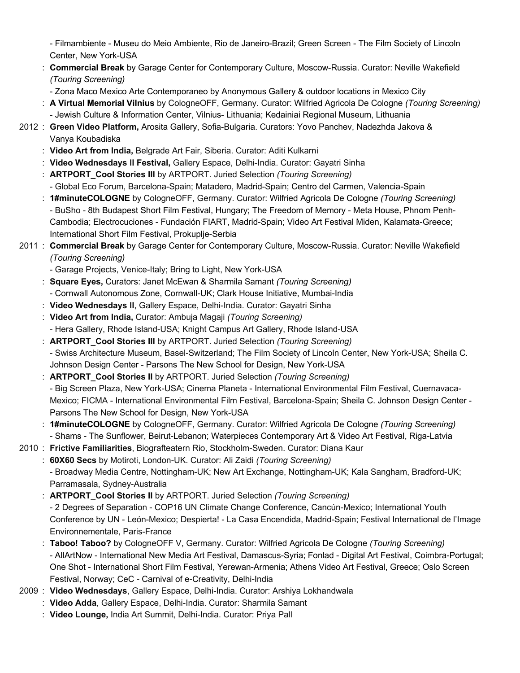- Filmambiente - Museu do Meio Ambiente, Rio de Janeiro-Brazil; Green Screen - The Film Society of Lincoln Center, New York-USA

- : **Commercial Break** by Garage Center for Contemporary Culture, Moscow-Russia. Curator: Neville Wakefield *(Touring Screening)*
	- Zona Maco Mexico Arte Contemporaneo by Anonymous Gallery & outdoor locations in Mexico City
- : **A Virtual Memorial Vilnius** by CologneOFF, Germany. Curator: Wilfried Agricola De Cologne *(Touring Screening)* - Jewish Culture & Information Center, Vilnius- Lithuania; Kedainiai Regional Museum, Lithuania
- 2012 : **Green Video Platform,** Arosita Gallery, Sofia-Bulgaria. Curators: Yovo Panchev, Nadezhda Jakova & Vanya Koubadiska
	- : **Video Art from India,** Belgrade Art Fair, Siberia. Curator: Aditi Kulkarni
	- : **Video Wednesdays ll Festival,** Gallery Espace, Delhi-India. Curator: Gayatri Sinha
	- : **ARTPORT\_Cool Stories III** by ARTPORT. Juried Selection *(Touring Screening)*
		- Global Eco Forum, Barcelona-Spain; Matadero, Madrid-Spain; Centro del Carmen, Valencia-Spain
	- : **1#minuteCOLOGNE** by CologneOFF, Germany. Curator: Wilfried Agricola De Cologne *(Touring Screening)* - BuSho - 8th Budapest Short Film Festival, Hungary; The Freedom of Memory - Meta House, Phnom Penh-Cambodia; Electrocuciones - Fundación FIART, Madrid-Spain; Video Art Festival Miden, Kalamata-Greece; International Short Film Festival, Prokuplje-Serbia

# 2011 : **Commercial Break** by Garage Center for Contemporary Culture, Moscow-Russia. Curator: Neville Wakefield *(Touring Screening)*

- Garage Projects, Venice-Italy; Bring to Light, New York-USA
- : **Square Eyes,** Curators: Janet McEwan & Sharmila Samant *(Touring Screening)*
- Cornwall Autonomous Zone, Cornwall-UK; Clark House Initiative, Mumbai-India
- : **Video Wednesdays ll**, Gallery Espace, Delhi-India. Curator: Gayatri Sinha
- : **Video Art from India,** Curator: Ambuja Magaji *(Touring Screening)* - Hera Gallery, Rhode Island-USA; Knight Campus Art Gallery, Rhode Island-USA
- : **ARTPORT\_Cool Stories III** by ARTPORT. Juried Selection *(Touring Screening)*
	- Swiss Architecture Museum, Basel-Switzerland; The Film Society of Lincoln Center, New York-USA; Sheila C. Johnson Design Center - Parsons The New School for Design, New York-USA
- : **ARTPORT\_Cool Stories II** by ARTPORT. Juried Selection *(Touring Screening)* - Big Screen Plaza, New York-USA; Cinema Planeta - International Environmental Film Festival, Cuernavaca-Mexico; FICMA - International Environmental Film Festival, Barcelona-Spain; Sheila C. Johnson Design Center - Parsons The New School for Design, New York-USA
- : **1#minuteCOLOGNE** by CologneOFF, Germany. Curator: Wilfried Agricola De Cologne *(Touring Screening)* - Shams - The Sunflower, Beirut-Lebanon; Waterpieces Contemporary Art & Video Art Festival, Riga-Latvia
- 2010 : **Frictive Familiarities**, Biografteatern Rio, Stockholm-Sweden. Curator: Diana Kaur

: **60X60 Secs** by Motiroti, London-UK. Curator: Ali Zaidi *(Touring Screening)* - Broadway Media Centre, Nottingham-UK; New Art Exchange, Nottingham-UK; Kala Sangham, Bradford-UK; Parramasala, Sydney-Australia

: **ARTPORT\_Cool Stories II** by ARTPORT. Juried Selection *(Touring Screening)*

- 2 Degrees of Separation - COP16 UN Climate Change Conference, Cancún-Mexico; International Youth Conference by UN - León-Mexico; Despierta! - La Casa Encendida, Madrid-Spain; Festival International de l'Image Environnementale, Paris-France

- : **Taboo! Taboo?** by CologneOFF V, Germany. Curator: Wilfried Agricola De Cologne *(Touring Screening)* - AllArtNow - International New Media Art Festival, Damascus-Syria; Fonlad - Digital Art Festival, Coimbra-Portugal; One Shot - International Short Film Festival, Yerewan-Armenia; Athens Video Art Festival, Greece; Oslo Screen Festival, Norway; CeC - Carnival of e-Creativity, Delhi-India
- 2009 : **Video Wednesdays**, Gallery Espace, Delhi-India. Curator: Arshiya Lokhandwala
	- : **Video Adda**, Gallery Espace, Delhi-India. Curator: Sharmila Samant
	- : **Video Lounge,** India Art Summit, Delhi-India. Curator: Priya Pall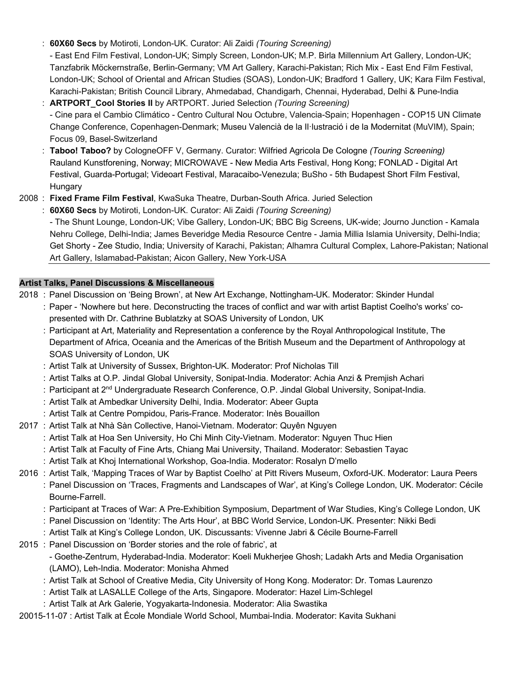: **60X60 Secs** by Motiroti, London-UK. Curator: Ali Zaidi *(Touring Screening)*

- East End Film Festival, London-UK; Simply Screen, London-UK; M.P. Birla Millennium Art Gallery, London-UK; Tanzfabrik Möckernstraße, Berlin-Germany; VM Art Gallery, Karachi-Pakistan; Rich Mix - East End Film Festival, London-UK; School of Oriental and African Studies (SOAS), London-UK; Bradford 1 Gallery, UK; Kara Film Festival, Karachi-Pakistan; British Council Library, Ahmedabad, Chandigarh, Chennai, Hyderabad, Delhi & Pune-India

- : **ARTPORT\_Cool Stories II** by ARTPORT. Juried Selection *(Touring Screening)* - Cine para el Cambio Climático - Centro Cultural Nou Octubre, Valencia-Spain; Hopenhagen - COP15 UN Climate Change Conference, Copenhagen-Denmark; Museu Valencià de la Il·lustració i de la Modernitat (MuVIM), Spain; Focus 09, Basel-Switzerland
- : **Taboo! Taboo?** by CologneOFF V, Germany. Curator: Wilfried Agricola De Cologne *(Touring Screening)* Rauland Kunstforening, Norway; MICROWAVE - New Media Arts Festival, Hong Kong; FONLAD - Digital Art Festival, Guarda-Portugal; Videoart Festival, Maracaibo-Venezula; BuSho - 5th Budapest Short Film Festival, **Hungary**
- 2008 : **Fixed Frame Film Festival**, KwaSuka Theatre, Durban-South Africa. Juried Selection

: **60X60 Secs** by Motiroti, London-UK. Curator: Ali Zaidi *(Touring Screening)* - The Shunt Lounge, London-UK; Vibe Gallery, London-UK; BBC Big Screens, UK-wide; Journo Junction - Kamala Nehru College, Delhi-India; James Beveridge Media Resource Centre - Jamia Millia Islamia University, Delhi-India; Get Shorty - Zee Studio, India; University of Karachi, Pakistan; Alhamra Cultural Complex, Lahore-Pakistan; National Art Gallery, Islamabad-Pakistan; Aicon Gallery, New York-USA

# **Artist Talks, Panel Discussions & Miscellaneous**

2018 : Panel Discussion on 'Being Brown', at New Art Exchange, Nottingham-UK. Moderator: Skinder Hundal

- : Paper 'Nowhere but here. Deconstructing the traces of conflict and war with artist Baptist Coelho's works' copresented with Dr. Cathrine Bublatzky at SOAS University of London, UK
- : Participant at Art, Materiality and Representation a conference by the Royal Anthropological Institute, The Department of Africa, Oceania and the Americas of the British Museum and the Department of Anthropology at SOAS University of London, UK
- : Artist Talk at University of Sussex, Brighton-UK. Moderator: Prof Nicholas Till
- : Artist Talks at O.P. Jindal Global University, Sonipat-India. Moderator: Achia Anzi & Premjish Achari
- : Participant at 2<sup>nd</sup> Undergraduate Research Conference, O.P. Jindal Global University, Sonipat-India.
- : Artist Talk at Ambedkar University Delhi, India. Moderator: Abeer Gupta
- : Artist Talk at Centre Pompidou, Paris-France. Moderator: Inès Bouaillon
- 2017 : Artist Talk at Nhà Sàn Collective, Hanoi-Vietnam. Moderator: Quyên Nguyen
	- : Artist Talk at Hoa Sen University, Ho Chi Minh City-Vietnam. Moderator: Nguyen Thuc Hien
	- : Artist Talk at Faculty of Fine Arts, Chiang Mai University, Thailand. Moderator: Sebastien Tayac
	- : Artist Talk at Khoj International Workshop, Goa-India. Moderator: Rosalyn D'mello
- 2016 : Artist Talk, 'Mapping Traces of War by Baptist Coelho' at Pitt Rivers Museum, Oxford-UK. Moderator: Laura Peers
	- : Panel Discussion on 'Traces, Fragments and Landscapes of War', at King's College London, UK. Moderator: Cécile Bourne-Farrell.
		- : Participant at Traces of War: A Pre-Exhibition Symposium, Department of War Studies, King's College London, UK
		- : Panel Discussion on 'Identity: The Arts Hour', at BBC World Service, London-UK. Presenter: Nikki Bedi
		- : Artist Talk at King's College London, UK. Discussants: Vivenne Jabri & Cécile Bourne-Farrell
- 2015 : Panel Discussion on 'Border stories and the role of fabric', at
	- Goethe-Zentrum, Hyderabad-India. Moderator: Koeli Mukherjee Ghosh; Ladakh Arts and Media Organisation (LAMO), Leh-India. Moderator: Monisha Ahmed
	- : Artist Talk at School of Creative Media, City University of Hong Kong. Moderator: Dr. Tomas Laurenzo
	- : Artist Talk at LASALLE College of the Arts, Singapore. Moderator: Hazel Lim-Schlegel
	- : Artist Talk at Ark Galerie, Yogyakarta-Indonesia. Moderator: Alia Swastika
- 20015-11-07 : Artist Talk at École Mondiale World School, Mumbai-India. Moderator: Kavita Sukhani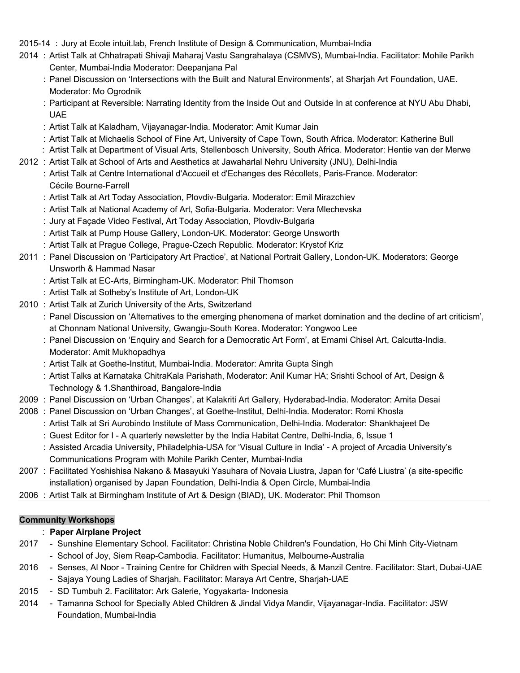## 2015-14 : Jury at Ecole intuit.lab, French Institute of Design & Communication, Mumbai-India

- 2014 : Artist Talk at Chhatrapati Shivaji Maharaj Vastu Sangrahalaya (CSMVS), Mumbai-India. Facilitator: Mohile Parikh Center, Mumbai-India Moderator: Deepanjana Pal
	- : Panel Discussion on 'Intersections with the Built and Natural Environments', at Sharjah Art Foundation, UAE. Moderator: Mo Ogrodnik
	- : Participant at Reversible: Narrating Identity from the Inside Out and Outside In at conference at NYU Abu Dhabi, UAE
	- : Artist Talk at Kaladham, Vijayanagar-India. Moderator: Amit Kumar Jain
	- : Artist Talk at Michaelis School of Fine Art, University of Cape Town, South Africa. Moderator: Katherine Bull
	- : Artist Talk at Department of Visual Arts, Stellenbosch University, South Africa. Moderator: Hentie van der Merwe
- 2012 : Artist Talk at School of Arts and Aesthetics at Jawaharlal Nehru University (JNU), Delhi-India
	- : Artist Talk at Centre International d'Accueil et d'Echanges des Récollets, Paris-France. Moderator: Cécile Bourne-Farrell
	- : Artist Talk at Art Today Association, Plovdiv-Bulgaria. Moderator: Emil Mirazchiev
	- : Artist Talk at National Academy of Art, Sofia-Bulgaria. Moderator: Vera Mlechevska
	- : Jury at Façade Video Festival, Art Today Association, Plovdiv-Bulgaria
	- : Artist Talk at Pump House Gallery, London-UK. Moderator: George Unsworth
	- : Artist Talk at Prague College, Prague-Czech Republic. Moderator: Krystof Kriz
- 2011 : Panel Discussion on 'Participatory Art Practice', at National Portrait Gallery, London-UK. Moderators: George Unsworth & Hammad Nasar
	- : Artist Talk at EC-Arts, Birmingham-UK. Moderator: Phil Thomson
	- : Artist Talk at Sotheby's Institute of Art, London-UK
- 2010 : Artist Talk at Zurich University of the Arts, Switzerland
	- : Panel Discussion on 'Alternatives to the emerging phenomena of market domination and the decline of art criticism', at Chonnam National University, Gwangju-South Korea. Moderator: Yongwoo Lee
		- : Panel Discussion on 'Enquiry and Search for a Democratic Art Form', at Emami Chisel Art, Calcutta-India. Moderator: Amit Mukhopadhya
		- : Artist Talk at Goethe-Institut, Mumbai-India. Moderator: Amrita Gupta Singh
		- : Artist Talks at Karnataka ChitraKala Parishath, Moderator: Anil Kumar HA; Srishti School of Art, Design & Technology & 1.Shanthiroad, Bangalore-India
- 2009 : Panel Discussion on 'Urban Changes', at Kalakriti Art Gallery, Hyderabad-India. Moderator: Amita Desai
- 2008 : Panel Discussion on 'Urban Changes', at Goethe-Institut, Delhi-India. Moderator: Romi Khosla
	- : Artist Talk at Sri Aurobindo Institute of Mass Communication, Delhi-India. Moderator: Shankhajeet De
	- : Guest Editor for I A quarterly newsletter by the India Habitat Centre, Delhi-India, 6, Issue 1
	- : Assisted Arcadia University, Philadelphia-USA for 'Visual Culture in India' A project of Arcadia University's Communications Program with Mohile Parikh Center, Mumbai-India
- 2007 : Facilitated Yoshishisa Nakano & Masayuki Yasuhara of Novaia Liustra, Japan for 'Café Liustra' (a site-specific installation) organised by Japan Foundation, Delhi-India & Open Circle, Mumbai-India
- 2006 : Artist Talk at Birmingham Institute of Art & Design (BIAD), UK. Moderator: Phil Thomson

### **Community Workshops**

## : **Paper Airplane Project**

- 2017 Sunshine Elementary School. Facilitator: Christina Noble Children's Foundation, Ho Chi Minh City-Vietnam
	- School of Joy, Siem Reap-Cambodia. Facilitator: Humanitus, Melbourne-Australia
- 2016 Senses, Al Noor Training Centre for Children with Special Needs, & Manzil Centre. Facilitator: Start, Dubai-UAE
	- Sajaya Young Ladies of Sharjah. Facilitator: Maraya Art Centre, Sharjah-UAE
- 2015 SD Tumbuh 2. Facilitator: Ark Galerie, Yogyakarta- Indonesia
- 2014 Tamanna School for Specially Abled Children & Jindal Vidya Mandir, Vijayanagar-India. Facilitator: JSW Foundation, Mumbai-India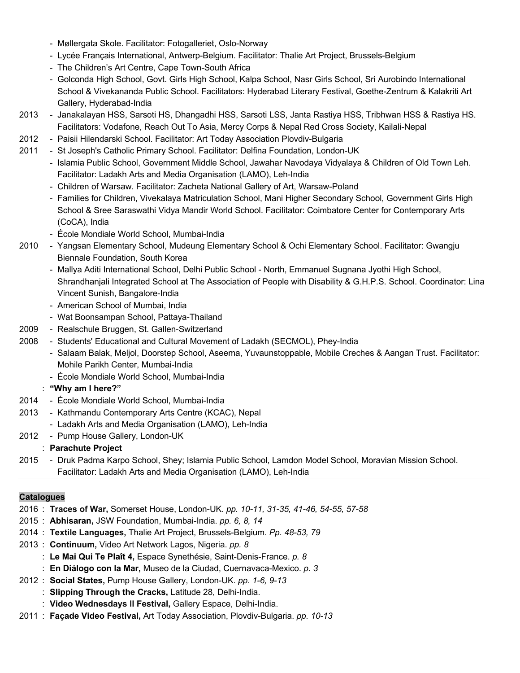- Møllergata Skole. Facilitator: Fotogalleriet, Oslo-Norway
- Lycée Français International, Antwerp-Belgium. Facilitator: Thalie Art Project, Brussels-Belgium
- The Children's Art Centre, Cape Town-South Africa
- Golconda High School, Govt. Girls High School, Kalpa School, Nasr Girls School, Sri Aurobindo International School & Vivekananda Public School. Facilitators: Hyderabad Literary Festival, Goethe-Zentrum & Kalakriti Art Gallery, Hyderabad-India
- 2013 Janakalayan HSS, Sarsoti HS, Dhangadhi HSS, Sarsoti LSS, Janta Rastiya HSS, Tribhwan HSS & Rastiya HS. Facilitators: Vodafone, Reach Out To Asia, Mercy Corps & Nepal Red Cross Society, Kailali-Nepal
- 2012 Paisii Hilendarski School. Facilitator: Art Today Association Plovdiv-Bulgaria
- 2011 St Joseph's Catholic Primary School. Facilitator: Delfina Foundation, London-UK
	- Islamia Public School, Government Middle School, Jawahar Navodaya Vidyalaya & Children of Old Town Leh. Facilitator: Ladakh Arts and Media Organisation (LAMO), Leh-India
	- Children of Warsaw. Facilitator: Zacheta National Gallery of Art, Warsaw-Poland
	- Families for Children, Vivekalaya Matriculation School, Mani Higher Secondary School, Government Girls High School & Sree Saraswathi Vidya Mandir World School. Facilitator: Coimbatore Center for Contemporary Arts (CoCA), India
	- École Mondiale World School, Mumbai-India
- 2010 Yangsan Elementary School, Mudeung Elementary School & Ochi Elementary School. Facilitator: Gwangju Biennale Foundation, South Korea
	- Mallya Aditi International School, Delhi Public School North, Emmanuel Sugnana Jyothi High School, Shrandhanjali Integrated School at The Association of People with Disability & G.H.P.S. School. Coordinator: Lina Vincent Sunish, Bangalore-India
	- American School of Mumbai, India
	- Wat Boonsampan School, Pattaya-Thailand
- 2009 Realschule Bruggen, St. Gallen-Switzerland
- 2008 Students' Educational and Cultural Movement of Ladakh (SECMOL), Phey-India
	- Salaam Balak, Meljol, Doorstep School, Aseema, Yuvaunstoppable, Mobile Creches & Aangan Trust. Facilitator: Mohile Parikh Center, Mumbai-India
	- École Mondiale World School, Mumbai-India
	- : **"Why am I here?"**
- 2014 École Mondiale World School, Mumbai-India
- 2013 Kathmandu Contemporary Arts Centre (KCAC), Nepal
	- Ladakh Arts and Media Organisation (LAMO), Leh-India
- 2012 Pump House Gallery, London-UK
	- : **Parachute Project**
- 2015 Druk Padma Karpo School, Shey; Islamia Public School, Lamdon Model School, Moravian Mission School. Facilitator: Ladakh Arts and Media Organisation (LAMO), Leh-India

## **Catalogues**

- 2016 : **Traces of War,** Somerset House, London-UK. *pp. 10-11, 31-35, 41-46, 54-55, 57-58*
- 2015 : **Abhisaran,** JSW Foundation, Mumbai-India. *pp. 6, 8, 14*
- 2014 : **Textile Languages,** Thalie Art Project, Brussels-Belgium. *Pp. 48-53, 79*
- 2013 : **Continuum,** Video Art Network Lagos, Nigeria. *pp. 8*
	- : **Le Mai Qui Te Plaît 4,** Espace Synethésie, Saint-Denis-France. *p. 8*
		- : **En Diálogo con la Mar,** Museo de la Ciudad, Cuernavaca-Mexico. *p. 3*
- 2012 : **Social States,** Pump House Gallery, London-UK. *pp. 1-6, 9-13*
	- : **Slipping Through the Cracks,** Latitude 28, Delhi-India.
	- : **Video Wednesdays ll Festival,** Gallery Espace, Delhi-India.
- 2011 : **Façade Video Festival,** Art Today Association, Plovdiv-Bulgaria. *pp. 10-13*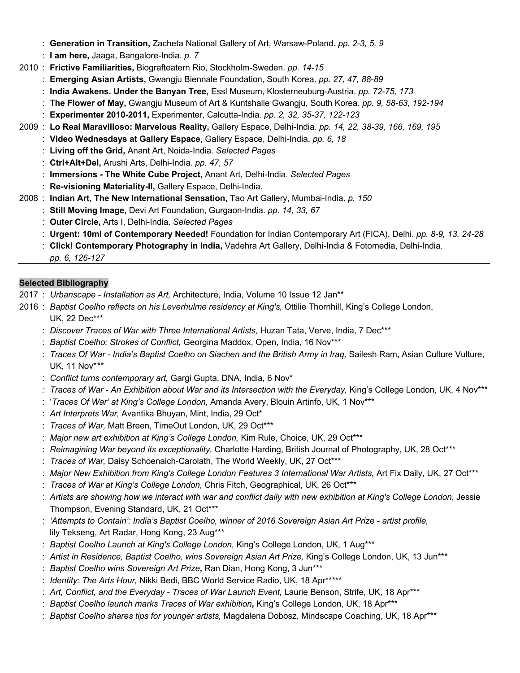- : **Generation in Transition,** Zacheta National Gallery of Art, Warsaw-Poland. *pp. 2-3, 5, 9*
- : **I am here,** Jaaga, Bangalore-India. *p. 7*
- 2010 : **Frictive Familiarities,** Biografteatern Rio, Stockholm-Sweden. *pp. 14-15*
	- : **Emerging Asian Artists,** Gwangju Biennale Foundation, South Korea. *pp. 27, 47, 88-89*
	- : **India Awakens. Under the Banyan Tree,** Essl Museum, Klosterneuburg-Austria. *pp. 72-75, 173*
	- : T**he Flower of May,** Gwangju Museum of Art & Kuntshalle Gwangju, South Korea. *pp. 9, 58-63, 192-194*
	- : **Experimenter 2010-2011,** Experimenter, Calcutta-India. *pp. 2, 32, 35-37, 122-123*
- 2009 : **Lo Real Maravilloso: Marvelous Reality,** Gallery Espace, Delhi-India. *pp. 14, 22, 38-39, 166, 169, 195*
	- : **Video Wednesdays at Gallery Espace**, Gallery Espace, Delhi-India. *pp. 6, 18*
	- : **Living off the Grid,** Anant Art, Noida-India. *Selected Pages*
	- : **Ctrl+Alt+Del,** Arushi Arts, Delhi-India. *pp. 47, 57*
	- : **Immersions - The White Cube Project,** Anant Art, Delhi-India. *Selected Pages*
	- : **Re-visioning Materiality-II,** Gallery Espace, Delhi-India.
- 2008 : **Indian Art, The New International Sensation,** Tao Art Gallery, Mumbai-India. *p. 150*
	- : **Still Moving Image,** Devi Art Foundation, Gurgaon-India. *pp. 14, 33, 67*
	- : **Outer Circle,** Arts I, Delhi-India. *Selected Pages*
	- : **Urgent: 10ml of Contemporary Needed!** Foundation for Indian Contemporary Art (FICA), Delhi. *pp. 8-9, 13, 24-28*
	- : **Click! Contemporary Photography in India,** Vadehra Art Gallery, Delhi-India & Fotomedia, Delhi-India.
	- *pp. 6, 126-127*

## **Selected Bibliography**

- 2017 : *Urbanscape - Installation as Art,* Architecture, India, Volume 10 Issue 12 Jan\*\*
- 2016 : *Baptist Coelho reflects on his Leverhulme residency at King's,* Ottilie Thornhill, King's College London, UK, 22 Dec\*\*\*
	- : *Discover Traces of War with Three International Artists,* Huzan Tata, Verve, India, 7 Dec\*\*\*
	- : *Baptist Coelho: Strokes of Conflict,* Georgina Maddox, Open, India, 16 Nov\*\*\*
	- : *Traces Of War - India's Baptist Coelho on Siachen and the British Army in Iraq,* Sailesh Ram**,** Asian Culture Vulture, UK, 11 Nov\**\*\**
	- : *Conflict turns contemporary art,* Gargi Gupta, DNA, India*,* 6 Nov\*
	- *: Traces of War - An Exhibition about War and its Intersection with the Everyday,* King's College London, UK, 4 Nov\*\*\*
	- : '*Traces Of War' at King's College London,* Amanda Avery, Blouin Artinfo, UK, 1 Nov\*\*\*
	- : *Art Interprets War,* Avantika Bhuyan, Mint, India, 29 Oct\*
	- : *Traces of War,* Matt Breen, TimeOut London, UK, 29 Oct\*\*\*
	- : *Major new art exhibition at King's College London,* Kim Rule, Choice, UK, 29 Oct\*\*\*
	- : *Reimagining War beyond its exceptionality,* Charlotte Harding, British Journal of Photography, UK, 28 Oct\*\*\*
	- : *Traces of War,* Daisy Schoenaich-Carolath, The World Weekly, UK, 27 Oct\*\*\*
	- : Major New Exhibition from King's College London Features 3 International War Artists, Art Fix Daily, UK, 27 Oct\*\*\*
	- : *Traces of War at King's College London,* Chris Fitch, Geographical, UK, 26 Oct\*\*\*
	- : *Artists are showing how we interact with war and conflict daily with new exhibition at King's College London*, Jessie Thompson, Evening Standard, UK, 21 Oct\*\*\*
	- : *'Attempts to Contain': India's Baptist Coelho, winner of 2016 Sovereign Asian Art Prize - artist profile,*  lily Tekseng, Art Radar, Hong Kong, 23 Aug\*\*\*
	- : *Baptist Coelho Launch at King's College London,* King's College London, UK, 1 Aug\*\*\*
	- : *Artist in Residence, Baptist Coelho, wins Sovereign Asian Art Prize,* King's College London, UK, 13 Jun\*\*\*
	- : *Baptist Coelho wins Sovereign Art Prize***,** Ran Dian, Hong Kong, 3 Jun\*\*\*
	- : *Identity: The Arts Hour,* Nikki Bedi, BBC World Service Radio, UK, 18 Apr\*\*\*\*\*
	- : *Art, Conflict, and the Everyday - Traces of War Launch Event,* Laurie Benson, Strife, UK, 18 Apr\*\*\*
	- : *Baptist Coelho launch marks Traces of War exhibition***,** King's College London, UK, 18 Apr\*\*\*
	- : *Baptist Coelho shares tips for younger artists,* Magdalena Dobosz, Mindscape Coaching, UK, 18 Apr\*\*\*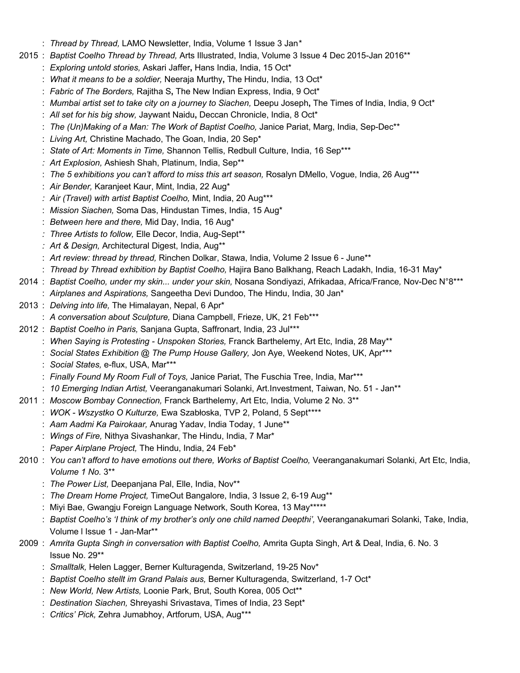- : *Thread by Thread,* LAMO Newsletter, India, Volume 1 Issue 3 Jan*\**
- 2015 : *Baptist Coelho Thread by Thread,* Arts Illustrated, India, Volume 3 Issue 4 Dec 2015-Jan 2016\*\*
	- : *Exploring untold stories,* Askari Jaffer**,** Hans India, India, 15 Oct\*
	- : *What it means to be a soldier,* Neeraja Murthy**,** The Hindu, India, 13 Oct\*
	- : *Fabric of The Borders,* Rajitha S**,** The New Indian Express, India, 9 Oct\*
	- : *Mumbai artist set to take city on a journey to Siachen, Deepu Joseph, The Times of India, India, 9 Oct<sup>\*</sup>*
	- : *All set for his big show,* Jaywant Naidu**,** Deccan Chronicle, India, 8 Oct\*
	- : *The (Un)Making of a Man: The Work of Baptist Coelho,* Janice Pariat, Marg, India, Sep-Dec\*\*
	- : *Living Art,* Christine Machado, The Goan, India, 20 Sep\*
	- : *State of Art: Moments in Time,* Shannon Tellis, Redbull Culture, India, 16 Sep\*\*\*
	- *: Art Explosion,* Ashiesh Shah, Platinum, India, Sep\*\*
	- : *The 5 exhibitions you can't afford to miss this art season,* Rosalyn DMello, Vogue, India, 26 Aug\*\*\*
	- : *Air Bender,* Karanjeet Kaur, Mint, India, 22 Aug\*
	- *: Air (Travel) with artist Baptist Coelho,* Mint, India, 20 Aug\*\*\*
	- : *Mission Siachen,* Soma Das, Hindustan Times, India, 15 Aug\*
	- : *Between here and there,* Mid Day, India, 16 Aug\*
	- *: Three Artists to follow,* Elle Decor, India, Aug-Sept\*\*
	- *: Art & Design,* Architectural Digest, India, Aug\*\*
	- : *Art review: thread by thread,* Rinchen Dolkar, Stawa, India, Volume 2 Issue 6 June\*\*
	- : *Thread by Thread exhibition by Baptist Coelho,* Hajira Bano Balkhang, Reach Ladakh, India, 16-31 May\*
- 2014 : *Baptist Coelho, under my skin... under your skin,* Nosana Sondiyazi, Afrikadaa, Africa/France*,* Nov-Dec N°8\*\*\* : *Airplanes and Aspirations,* Sangeetha Devi Dundoo, The Hindu, India, 30 Jan\*
- 2013 : *Delving into life,* The Himalayan, Nepal, 6 Apr\*
	- : *A conversation about Sculpture,* Diana Campbell, Frieze, UK, 21 Feb\*\*\*
- 2012 : *Baptist Coelho in Paris,* Sanjana Gupta, Saffronart, India, 23 Jul\*\*\*
	- : *When Saying is Protesting - Unspoken Stories,* Franck Barthelemy, Art Etc, India, 28 May\*\*
	- : *Social States Exhibition @ The Pump House Gallery,* Jon Aye, Weekend Notes, UK, Apr\*\*\*
	- : *Social States,* e-flux, USA, Mar\*\*\*
	- : *Finally Found My Room Full of Toys,* Janice Pariat, The Fuschia Tree, India, Mar\*\*\*
	- : *10 Emerging Indian Artist,* Veeranganakumari Solanki, Art.Investment, Taiwan, No. 51 Jan\*\*
- 2011 : *Moscow Bombay Connection,* Franck Barthelemy, Art Etc, India, Volume 2 No. 3\*\*
	- : *WOK - Wszystko O Kulturze,* Ewa Szabłoska, TVP 2, Poland, 5 Sept\*\*\*\*
		- : *Aam Aadmi Ka Pairokaar,* Anurag Yadav, India Today, 1 June\*\*
		- : *Wings of Fire,* Nithya Sivashankar, The Hindu, India, 7 Mar\*
		- : *Paper Airplane Project,* The Hindu, India, 24 Feb\*
- 2010 : *You can't afford to have emotions out there, Works of Baptist Coelho, Veeranganakumari Solanki, Art Etc, India, Volume 1 No.* 3\*\*
	- : *The Power List,* Deepanjana Pal, Elle, India, Nov\*\*
	- : *The Dream Home Project,* TimeOut Bangalore, India, 3 Issue 2, 6-19 Aug\*\*
	- : Miyi Bae, Gwangju Foreign Language Network, South Korea, 13 May\*\*\*\*\*
	- : *Baptist Coelho's 'I think of my brother's only one child named Deepthi',* Veeranganakumari Solanki, Take, India, Volume l Issue 1 - Jan-Mar\*\*
- 2009 : *Amrita Gupta Singh in conversation with Baptist Coelho,* Amrita Gupta Singh, Art & Deal, India, 6. No. 3 Issue No. 29\*\*
	- : *Smalltalk,* Helen Lagger, Berner Kulturagenda, Switzerland, 19-25 Nov\*
	- : *Baptist Coelho stellt im Grand Palais aus,* Berner Kulturagenda, Switzerland, 1-7 Oct\*
	- : *New World, New Artists,* Loonie Park, Brut, South Korea, 005 Oct\*\*
	- : *Destination Siachen,* Shreyashi Srivastava, Times of India, 23 Sept\*
	- : *Critics' Pick,* Zehra Jumabhoy, Artforum, USA, Aug\*\*\*